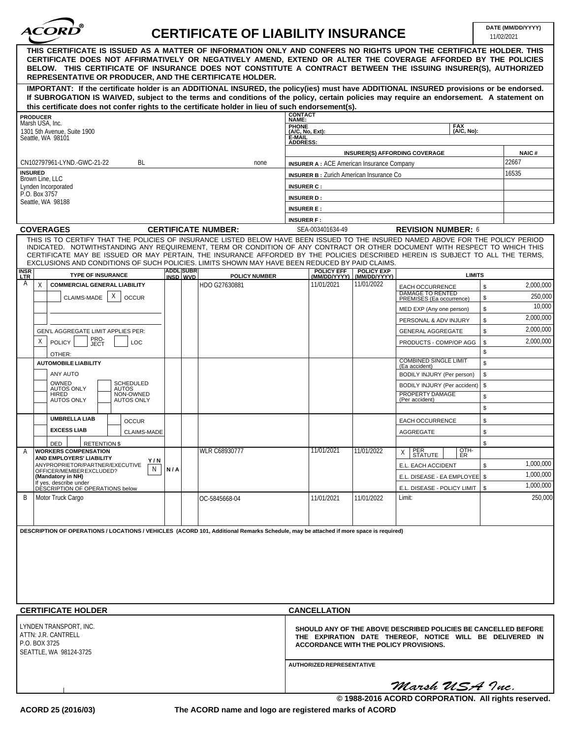

## **CERTIFICATE OF LIABILITY INSURANCE DATE (MM/DD/YYYY)**

11/02/2021

|                                                                                                                                                                                                                                                                                                                                                                                                                  |                                               |                                                                                                                                                                      |                                   |                                                   | <b>I INVAIZUZ I</b> |              |
|------------------------------------------------------------------------------------------------------------------------------------------------------------------------------------------------------------------------------------------------------------------------------------------------------------------------------------------------------------------------------------------------------------------|-----------------------------------------------|----------------------------------------------------------------------------------------------------------------------------------------------------------------------|-----------------------------------|---------------------------------------------------|---------------------|--------------|
| THIS CERTIFICATE IS ISSUED AS A MATTER OF INFORMATION ONLY AND CONFERS NO RIGHTS UPON THE CERTIFICATE HOLDER. THIS<br>CERTIFICATE DOES NOT AFFIRMATIVELY OR NEGATIVELY AMEND, EXTEND OR ALTER THE COVERAGE AFFORDED BY THE POLICIES<br>BELOW. THIS CERTIFICATE OF INSURANCE DOES NOT CONSTITUTE A CONTRACT BETWEEN THE ISSUING INSURER(S), AUTHORIZED<br>REPRESENTATIVE OR PRODUCER, AND THE CERTIFICATE HOLDER. |                                               |                                                                                                                                                                      |                                   |                                                   |                     |              |
| IMPORTANT: If the certificate holder is an ADDITIONAL INSURED, the policy(ies) must have ADDITIONAL INSURED provisions or be endorsed.                                                                                                                                                                                                                                                                           |                                               |                                                                                                                                                                      |                                   |                                                   |                     |              |
| If SUBROGATION IS WAIVED, subject to the terms and conditions of the policy, certain policies may require an endorsement. A statement on                                                                                                                                                                                                                                                                         |                                               |                                                                                                                                                                      |                                   |                                                   |                     |              |
| this certificate does not confer rights to the certificate holder in lieu of such endorsement(s).                                                                                                                                                                                                                                                                                                                |                                               |                                                                                                                                                                      |                                   |                                                   |                     |              |
| <b>PRODUCER</b><br>Marsh USA, Inc.                                                                                                                                                                                                                                                                                                                                                                               |                                               | <b>CONTACT</b><br>NAME:                                                                                                                                              |                                   |                                                   |                     |              |
| 1301 5th Avenue, Suite 1900                                                                                                                                                                                                                                                                                                                                                                                      |                                               | <b>PHONE</b><br>(A/C, No, Ext):                                                                                                                                      |                                   | <b>FAX</b><br>(A/C, No):                          |                     |              |
| Seattle, WA 98101                                                                                                                                                                                                                                                                                                                                                                                                |                                               | E-MAIL<br><b>ADDRESS:</b>                                                                                                                                            |                                   |                                                   |                     |              |
|                                                                                                                                                                                                                                                                                                                                                                                                                  |                                               |                                                                                                                                                                      |                                   | INSURER(S) AFFORDING COVERAGE                     |                     | <b>NAIC#</b> |
| CN102797961-LYND.-GWC-21-22<br>BL<br>none                                                                                                                                                                                                                                                                                                                                                                        |                                               | <b>INSURER A: ACE American Insurance Company</b>                                                                                                                     |                                   |                                                   |                     | 22667        |
| <b>INSURED</b>                                                                                                                                                                                                                                                                                                                                                                                                   |                                               | <b>INSURER B:</b> Zurich American Insurance Co                                                                                                                       |                                   |                                                   |                     | 16535        |
| Brown Line, LLC<br>Lynden Incorporated                                                                                                                                                                                                                                                                                                                                                                           |                                               | <b>INSURER C:</b>                                                                                                                                                    |                                   |                                                   |                     |              |
| P.O. Box 3757                                                                                                                                                                                                                                                                                                                                                                                                    |                                               | <b>INSURER D:</b>                                                                                                                                                    |                                   |                                                   |                     |              |
| Seattle, WA 98188                                                                                                                                                                                                                                                                                                                                                                                                |                                               | <b>INSURER E:</b>                                                                                                                                                    |                                   |                                                   |                     |              |
|                                                                                                                                                                                                                                                                                                                                                                                                                  |                                               | <b>INSURER F:</b>                                                                                                                                                    |                                   |                                                   |                     |              |
| <b>COVERAGES</b>                                                                                                                                                                                                                                                                                                                                                                                                 | <b>CERTIFICATE NUMBER:</b>                    | SEA-003401634-49                                                                                                                                                     |                                   | <b>REVISION NUMBER: 6</b>                         |                     |              |
| THIS IS TO CERTIFY THAT THE POLICIES OF INSURANCE LISTED BELOW HAVE BEEN ISSUED TO THE INSURED NAMED ABOVE FOR THE POLICY PERIOD                                                                                                                                                                                                                                                                                 |                                               |                                                                                                                                                                      |                                   |                                                   |                     |              |
| INDICATED. NOTWITHSTANDING ANY REQUIREMENT, TERM OR CONDITION OF ANY CONTRACT OR OTHER DOCUMENT WITH RESPECT TO WHICH THIS<br>CERTIFICATE MAY BE ISSUED OR MAY PERTAIN, THE INSURANCE AFFORDED BY THE POLICIES DESCRIBED HEREIN IS SUBJECT TO ALL THE TERMS,<br>EXCLUSIONS AND CONDITIONS OF SUCH POLICIES, LIMITS SHOWN MAY HAVE BEEN REDUCED BY PAID CLAIMS.                                                   |                                               |                                                                                                                                                                      |                                   |                                                   |                     |              |
| <b>INSR</b><br><b>TYPE OF INSURANCE</b><br><b>LTR</b>                                                                                                                                                                                                                                                                                                                                                            | ADDL SUBR<br><b>POLICY NUMBER</b><br>INSD WVD | <b>POLICY EFF</b><br>(MM/DD/YYYY)                                                                                                                                    | <b>POLICY EXP</b><br>(MM/DD/YYYY) | <b>LIMITS</b>                                     |                     |              |
| A<br><b>COMMERCIAL GENERAL LIABILITY</b><br>X                                                                                                                                                                                                                                                                                                                                                                    | HDO G27630881                                 | 11/01/2021                                                                                                                                                           | 11/01/2022                        | <b>EACH OCCURRENCE</b><br><b>DAMAGE TO RENTED</b> | \$                  | 2,000,000    |
| X<br>CLAIMS-MADE<br><b>OCCUR</b>                                                                                                                                                                                                                                                                                                                                                                                 |                                               |                                                                                                                                                                      |                                   | PREMISES (Ea occurrence)                          | \$                  | 250,000      |
|                                                                                                                                                                                                                                                                                                                                                                                                                  |                                               |                                                                                                                                                                      |                                   | MED EXP (Any one person)                          | \$                  | 10,000       |
|                                                                                                                                                                                                                                                                                                                                                                                                                  |                                               |                                                                                                                                                                      |                                   | PERSONAL & ADV INJURY                             | \$                  | 2,000,000    |
| GEN'L AGGREGATE LIMIT APPLIES PER:                                                                                                                                                                                                                                                                                                                                                                               |                                               |                                                                                                                                                                      |                                   | <b>GENERAL AGGREGATE</b>                          | \$                  | 2,000,000    |
| PRO-<br>JECT<br>X<br><b>POLICY</b><br>LOC                                                                                                                                                                                                                                                                                                                                                                        |                                               |                                                                                                                                                                      |                                   | PRODUCTS - COMP/OP AGG                            | \$                  | 2,000,000    |
| OTHER:                                                                                                                                                                                                                                                                                                                                                                                                           |                                               |                                                                                                                                                                      |                                   |                                                   | \$                  |              |
| <b>AUTOMOBILE LIABILITY</b>                                                                                                                                                                                                                                                                                                                                                                                      |                                               |                                                                                                                                                                      |                                   | <b>COMBINED SINGLE LIMIT</b><br>(Ea accident)     | \$                  |              |
| ANY AUTO                                                                                                                                                                                                                                                                                                                                                                                                         |                                               |                                                                                                                                                                      |                                   | BODILY INJURY (Per person)                        | \$                  |              |
| OWNED<br>SCHEDULED<br><b>AUTOS ONLY</b><br><b>AUTOS</b>                                                                                                                                                                                                                                                                                                                                                          |                                               |                                                                                                                                                                      |                                   | BODILY INJURY (Per accident)                      | \$                  |              |
| NON-OWNED<br>HIRED<br><b>AUTOS ONLY</b><br><b>AUTOS ONLY</b>                                                                                                                                                                                                                                                                                                                                                     |                                               |                                                                                                                                                                      |                                   | PROPERTY DAMAGE<br>(Per accident)                 | \$                  |              |
|                                                                                                                                                                                                                                                                                                                                                                                                                  |                                               |                                                                                                                                                                      |                                   |                                                   | \$                  |              |
| <b>UMBRELLA LIAB</b><br><b>OCCUR</b>                                                                                                                                                                                                                                                                                                                                                                             |                                               |                                                                                                                                                                      |                                   | EACH OCCURRENCE                                   | \$                  |              |
| <b>EXCESS LIAB</b><br><b>CLAIMS-MADE</b>                                                                                                                                                                                                                                                                                                                                                                         |                                               |                                                                                                                                                                      |                                   | AGGREGATE                                         | \$                  |              |
| DED<br><b>RETENTION \$</b>                                                                                                                                                                                                                                                                                                                                                                                       |                                               |                                                                                                                                                                      |                                   |                                                   | \$                  |              |
| <b>WORKERS COMPENSATION</b><br>A                                                                                                                                                                                                                                                                                                                                                                                 | WLR C68930777                                 | 11/01/2021                                                                                                                                                           | 11/01/2022                        | PER<br>STATUTE<br>OTH-<br>$\times$                |                     |              |
| AND EMPLOYERS' LIABILITY<br>Y/N<br>ANYPROPRIETOR/PARTNER/EXECUTIVE                                                                                                                                                                                                                                                                                                                                               |                                               |                                                                                                                                                                      |                                   | $\overline{\phantom{a}}$                          |                     | 1,000,000    |
| N<br>N/A<br>OFFICER/MEMBER EXCLUDED?                                                                                                                                                                                                                                                                                                                                                                             |                                               |                                                                                                                                                                      |                                   | E.L. EACH ACCIDENT                                | \$                  | 1,000,000    |
| (Mandatory in NH)<br>If yes, describe under                                                                                                                                                                                                                                                                                                                                                                      |                                               |                                                                                                                                                                      |                                   | E.L. DISEASE - EA EMPLOYEE   \$                   |                     | 1,000,000    |
| DÉSCRIPTION OF OPERATIONS below<br>B<br>Motor Truck Cargo                                                                                                                                                                                                                                                                                                                                                        | OC-5845668-04                                 | 11/01/2021                                                                                                                                                           | 11/01/2022                        | E.L. DISEASE - POLICY LIMIT  <br>Limit:           | \$                  | 250,000      |
|                                                                                                                                                                                                                                                                                                                                                                                                                  |                                               |                                                                                                                                                                      |                                   |                                                   |                     |              |
| DESCRIPTION OF OPERATIONS / LOCATIONS / VEHICLES (ACORD 101, Additional Remarks Schedule, may be attached if more space is required)                                                                                                                                                                                                                                                                             |                                               |                                                                                                                                                                      |                                   |                                                   |                     |              |
|                                                                                                                                                                                                                                                                                                                                                                                                                  |                                               |                                                                                                                                                                      |                                   |                                                   |                     |              |
|                                                                                                                                                                                                                                                                                                                                                                                                                  |                                               |                                                                                                                                                                      |                                   |                                                   |                     |              |
|                                                                                                                                                                                                                                                                                                                                                                                                                  |                                               |                                                                                                                                                                      |                                   |                                                   |                     |              |
|                                                                                                                                                                                                                                                                                                                                                                                                                  |                                               |                                                                                                                                                                      |                                   |                                                   |                     |              |
|                                                                                                                                                                                                                                                                                                                                                                                                                  |                                               |                                                                                                                                                                      |                                   |                                                   |                     |              |
|                                                                                                                                                                                                                                                                                                                                                                                                                  |                                               |                                                                                                                                                                      |                                   |                                                   |                     |              |
|                                                                                                                                                                                                                                                                                                                                                                                                                  |                                               |                                                                                                                                                                      |                                   |                                                   |                     |              |
| <b>CERTIFICATE HOLDER</b>                                                                                                                                                                                                                                                                                                                                                                                        | <b>CANCELLATION</b>                           |                                                                                                                                                                      |                                   |                                                   |                     |              |
| LYNDEN TRANSPORT, INC.<br>ATTN: J.R. CANTRELL<br>P.O. BOX 3725<br>SEATTLE, WA 98124-3725                                                                                                                                                                                                                                                                                                                         |                                               | SHOULD ANY OF THE ABOVE DESCRIBED POLICIES BE CANCELLED BEFORE<br>THE EXPIRATION DATE THEREOF, NOTICE WILL BE DELIVERED IN<br>ACCORDANCE WITH THE POLICY PROVISIONS. |                                   |                                                   |                     |              |
|                                                                                                                                                                                                                                                                                                                                                                                                                  |                                               | <b>AUTHORIZED REPRESENTATIVE</b>                                                                                                                                     |                                   |                                                   |                     |              |
|                                                                                                                                                                                                                                                                                                                                                                                                                  |                                               |                                                                                                                                                                      |                                   | Marsh USA Inc.                                    |                     |              |

**The ACORD name and logo are registered marks of ACORD**

**© 1988-2016 ACORD CORPORATION. All rights reserved.**